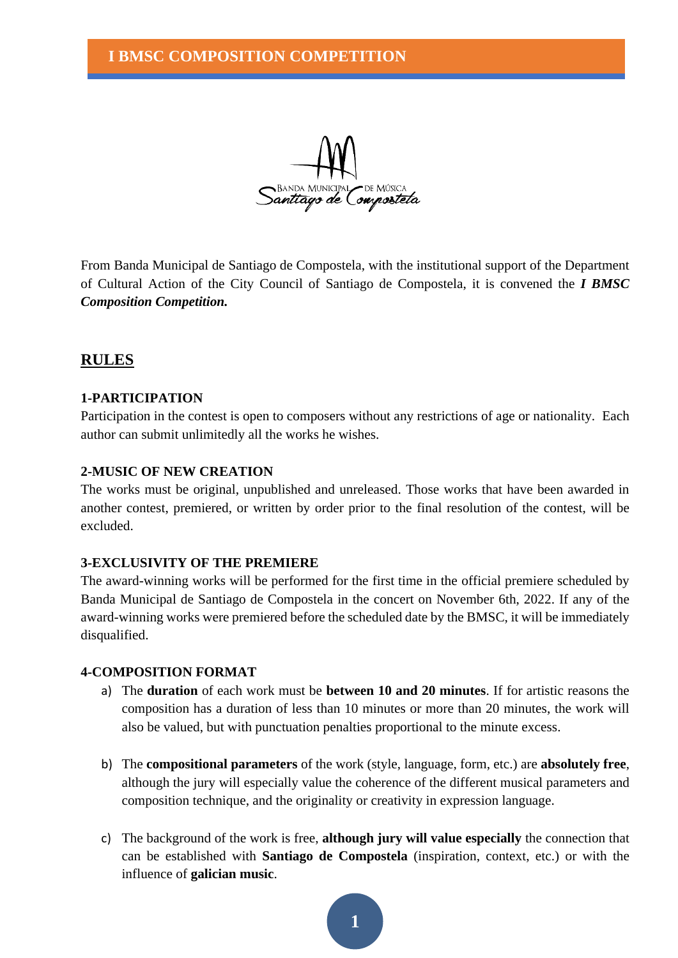

From Banda Municipal de Santiago de Compostela, with the institutional support of the Department of Cultural Action of the City Council of Santiago de Compostela, it is convened the *I BMSC Composition Competition.*

# **RULES**

## **1-PARTICIPATION**

Participation in the contest is open to composers without any restrictions of age or nationality. Each author can submit unlimitedly all the works he wishes.

### **2-MUSIC OF NEW CREATION**

The works must be original, unpublished and unreleased. Those works that have been awarded in another contest, premiered, or written by order prior to the final resolution of the contest, will be excluded.

### **3-EXCLUSIVITY OF THE PREMIERE**

The award-winning works will be performed for the first time in the official premiere scheduled by Banda Municipal de Santiago de Compostela in the concert on November 6th, 2022. If any of the award-winning works were premiered before the scheduled date by the BMSC, it will be immediately disqualified.

### **4-COMPOSITION FORMAT**

- a) The **duration** of each work must be **between 10 and 20 minutes**. If for artistic reasons the composition has a duration of less than 10 minutes or more than 20 minutes, the work will also be valued, but with punctuation penalties proportional to the minute excess.
- b) The **compositional parameters** of the work (style, language, form, etc.) are **absolutely free**, although the jury will especially value the coherence of the different musical parameters and composition technique, and the originality or creativity in expression language.
- c) The background of the work is free, **although jury will value especially** the connection that can be established with **Santiago de Compostela** (inspiration, context, etc.) or with the influence of **galician music**.

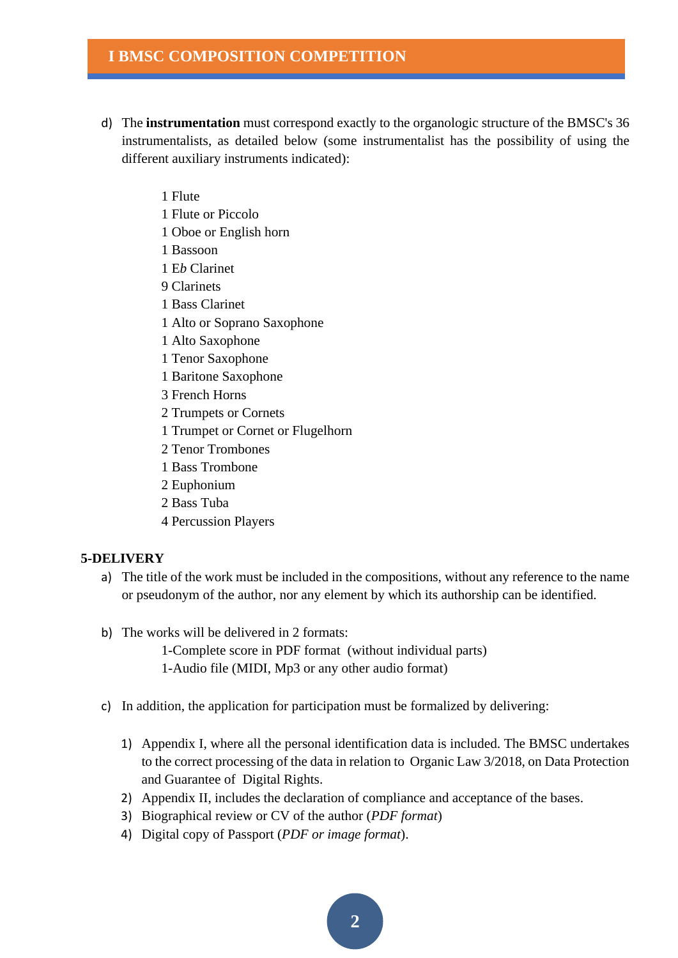## **I BMSC COMPOSITION COMPETITION**

- d) The **instrumentation** must correspond exactly to the organologic structure of the BMSC's 36 instrumentalists, as detailed below (some instrumentalist has the possibility of using the different auxiliary instruments indicated):
	- 1 Flute
	- 1 Flute or Piccolo
	- 1 Oboe or English horn
	- 1 Bassoon
	- 1 E*b* Clarinet
	- 9 Clarinets
	- 1 Bass Clarinet
	- 1 Alto or Soprano Saxophone
	- 1 Alto Saxophone
	- 1 Tenor Saxophone
	- 1 Baritone Saxophone
	- 3 French Horns
	- 2 Trumpets or Cornets
	- 1 Trumpet or Cornet or Flugelhorn
	- 2 Tenor Trombones
	- 1 Bass Trombone
	- 2 Euphonium
	- 2 Bass Tuba
	- 4 Percussion Players

#### **5-DELIVERY**

- a) The title of the work must be included in the compositions, without any reference to the name or pseudonym of the author, nor any element by which its authorship can be identified.
- b) The works will be delivered in 2 formats:

1-Complete score in PDF format (without individual parts) 1-Audio file (MIDI, Mp3 or any other audio format)

- c) In addition, the application for participation must be formalized by delivering:
	- 1) Appendix I, where all the personal identification data is included. The BMSC undertakes to the correct processing of the data in relation to Organic Law 3/2018, on Data Protection and Guarantee of Digital Rights.
	- 2) Appendix II, includes the declaration of compliance and acceptance of the bases.
	- 3) Biographical review or CV of the author (*PDF format*)
	- 4) Digital copy of Passport (*PDF or image format*).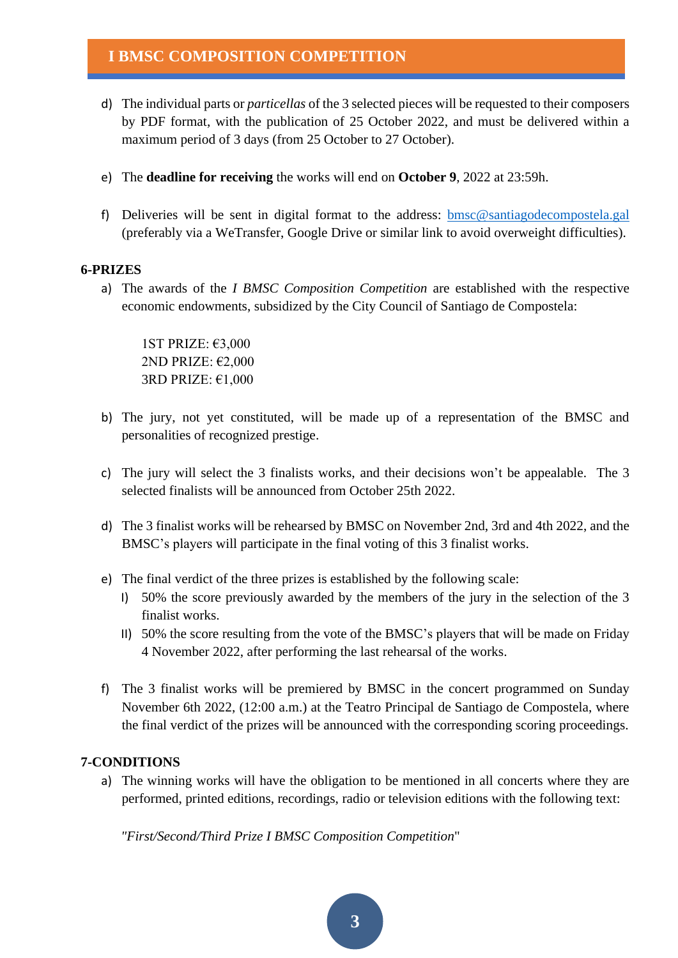# **I BMSC COMPOSITION COMPETITION**

- d) The individual parts or *particellas* of the 3 selected pieces will be requested to their composers by PDF format, with the publication of 25 October 2022, and must be delivered within a maximum period of 3 days (from 25 October to 27 October).
- e) The **deadline for receiving** the works will end on **October 9**, 2022 at 23:59h.
- f) Deliveries will be sent in digital format to the address: [bmsc@santiagodecompostela.gal](mailto:bmsc@santiagodecompostela.gal) (preferably via a WeTransfer, Google Drive or similar link to avoid overweight difficulties).

### **6-PRIZES**

a) The awards of the *I BMSC Composition Competition* are established with the respective economic endowments, subsidized by the City Council of Santiago de Compostela:

1ST PRIZE: €3,000 2ND PRIZE: €2,000 3RD PRIZE: €1,000

- b) The jury, not yet constituted, will be made up of a representation of the BMSC and personalities of recognized prestige.
- c) The jury will select the 3 finalists works, and their decisions won't be appealable. The 3 selected finalists will be announced from October 25th 2022.
- d) The 3 finalist works will be rehearsed by BMSC on November 2nd, 3rd and 4th 2022, and the BMSC's players will participate in the final voting of this 3 finalist works.
- e) The final verdict of the three prizes is established by the following scale:
	- I) 50% the score previously awarded by the members of the jury in the selection of the 3 finalist works.
	- II) 50% the score resulting from the vote of the BMSC's players that will be made on Friday 4 November 2022, after performing the last rehearsal of the works.
- f) The 3 finalist works will be premiered by BMSC in the concert programmed on Sunday November 6th 2022, (12:00 a.m.) at the Teatro Principal de Santiago de Compostela, where the final verdict of the prizes will be announced with the corresponding scoring proceedings.

### **7-CONDITIONS**

a) The winning works will have the obligation to be mentioned in all concerts where they are performed, printed editions, recordings, radio or television editions with the following text:

*"First/Second/Third Prize I BMSC Composition Competition*"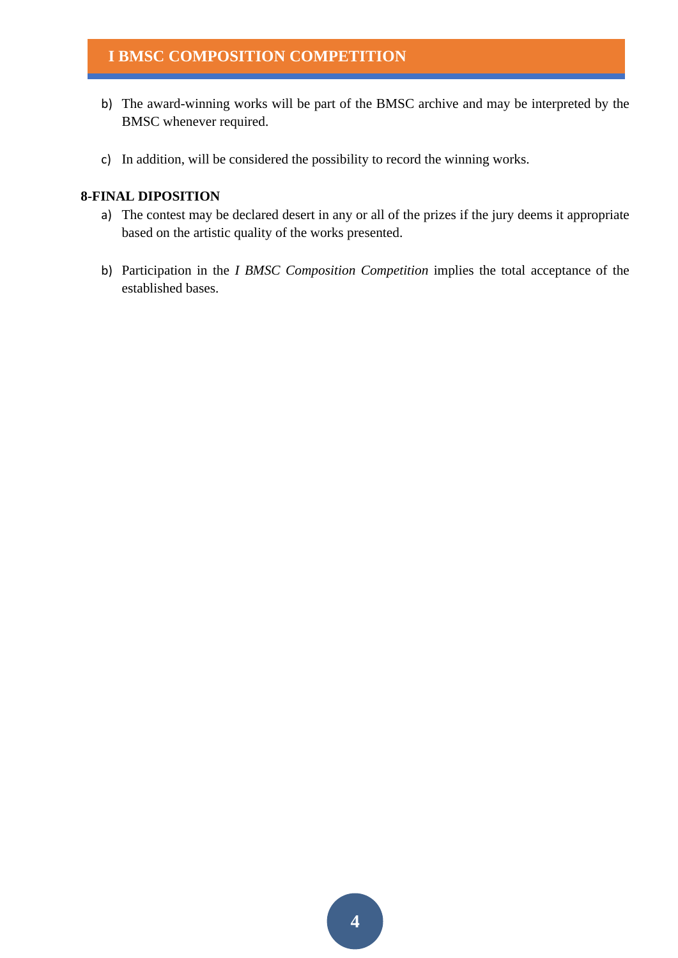# **I BMSC COMPOSITION COMPETITION**

- b) The award-winning works will be part of the BMSC archive and may be interpreted by the BMSC whenever required.
- c) In addition, will be considered the possibility to record the winning works.

### **8-FINAL DIPOSITION**

- a) The contest may be declared desert in any or all of the prizes if the jury deems it appropriate based on the artistic quality of the works presented.
- b) Participation in the *I BMSC Composition Competition* implies the total acceptance of the established bases.